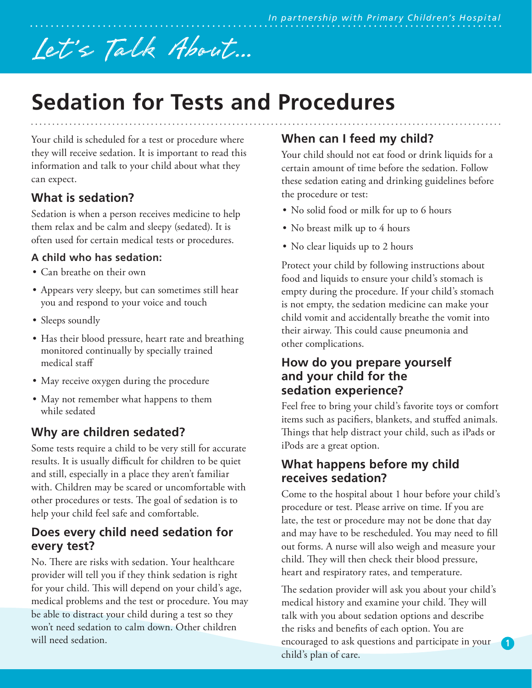# Let 's Talk About...

# **Sedation for Tests and Procedures**

Your child is scheduled for a test or procedure where they will receive sedation. It is important to read this information and talk to your child about what they can expect.

# **What is sedation?**

Sedation is when a person receives medicine to help them relax and be calm and sleepy (sedated). It is often used for certain medical tests or procedures.

#### **A child who has sedation:**

- Can breathe on their own
- Appears very sleepy, but can sometimes still hear you and respond to your voice and touch
- Sleeps soundly
- Has their blood pressure, heart rate and breathing monitored continually by specially trained medical staff
- May receive oxygen during the procedure
- May not remember what happens to them while sedated

## **Why are children sedated?**

Some tests require a child to be very still for accurate results. It is usually difficult for children to be quiet and still, especially in a place they aren't familiar with. Children may be scared or uncomfortable with other procedures or tests. The goal of sedation is to help your child feel safe and comfortable.

#### **Does every child need sedation for every test?**

No. There are risks with sedation. Your healthcare provider will tell you if they think sedation is right for your child. This will depend on your child's age, medical problems and the test or procedure. You may be able to distract your child during a test so they won't need sedation to calm down. Other children will need sedation.

# **When can I feed my child?**

Your child should not eat food or drink liquids for a certain amount of time before the sedation. Follow these sedation eating and drinking guidelines before the procedure or test:

- No solid food or milk for up to 6 hours
- No breast milk up to 4 hours
- No clear liquids up to 2 hours

Protect your child by following instructions about food and liquids to ensure your child's stomach is empty during the procedure. If your child's stomach is not empty, the sedation medicine can make your child vomit and accidentally breathe the vomit into their airway. This could cause pneumonia and other complications.

#### **How do you prepare yourself and your child for the sedation experience?**

Feel free to bring your child's favorite toys or comfort items such as pacifiers, blankets, and stuffed animals. Things that help distract your child, such as iPads or iPods are a great option.

#### **What happens before my child receives sedation?**

Come to the hospital about 1 hour before your child's procedure or test. Please arrive on time. If you are late, the test or procedure may not be done that day and may have to be rescheduled. You may need to fill out forms. A nurse will also weigh and measure your child. They will then check their blood pressure, heart and respiratory rates, and temperature.

The sedation provider will ask you about your child's medical history and examine your child. They will talk with you about sedation options and describe the risks and benefits of each option. You are encouraged to ask questions and participate in your child's plan of care.

**1**